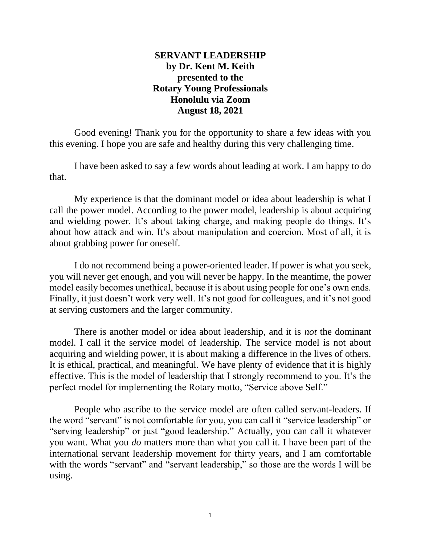# **SERVANT LEADERSHIP by Dr. Kent M. Keith presented to the Rotary Young Professionals Honolulu via Zoom August 18, 2021**

Good evening! Thank you for the opportunity to share a few ideas with you this evening. I hope you are safe and healthy during this very challenging time.

I have been asked to say a few words about leading at work. I am happy to do that.

My experience is that the dominant model or idea about leadership is what I call the power model. According to the power model, leadership is about acquiring and wielding power. It's about taking charge, and making people do things. It's about how attack and win. It's about manipulation and coercion. Most of all, it is about grabbing power for oneself.

I do not recommend being a power-oriented leader. If power is what you seek, you will never get enough, and you will never be happy. In the meantime, the power model easily becomes unethical, because it is about using people for one's own ends. Finally, it just doesn't work very well. It's not good for colleagues, and it's not good at serving customers and the larger community.

There is another model or idea about leadership, and it is *not* the dominant model. I call it the service model of leadership. The service model is not about acquiring and wielding power, it is about making a difference in the lives of others. It is ethical, practical, and meaningful. We have plenty of evidence that it is highly effective. This is the model of leadership that I strongly recommend to you. It's the perfect model for implementing the Rotary motto, "Service above Self."

People who ascribe to the service model are often called servant-leaders. If the word "servant" is not comfortable for you, you can call it "service leadership" or "serving leadership" or just "good leadership." Actually, you can call it whatever you want. What you *do* matters more than what you call it. I have been part of the international servant leadership movement for thirty years, and I am comfortable with the words "servant" and "servant leadership," so those are the words I will be using.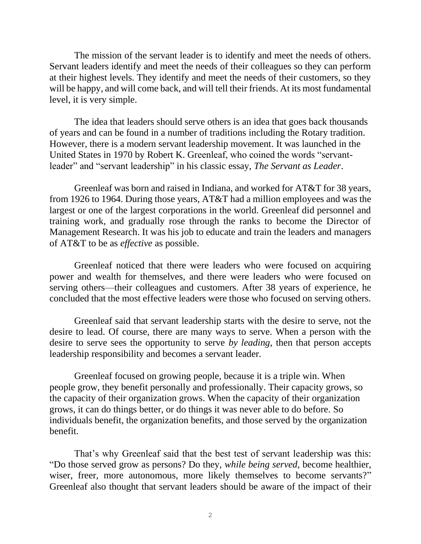The mission of the servant leader is to identify and meet the needs of others. Servant leaders identify and meet the needs of their colleagues so they can perform at their highest levels. They identify and meet the needs of their customers, so they will be happy, and will come back, and will tell their friends. At its most fundamental level, it is very simple.

The idea that leaders should serve others is an idea that goes back thousands of years and can be found in a number of traditions including the Rotary tradition. However, there is a modern servant leadership movement. It was launched in the United States in 1970 by Robert K. Greenleaf, who coined the words "servantleader" and "servant leadership" in his classic essay, *The Servant as Leader*.

Greenleaf was born and raised in Indiana, and worked for AT&T for 38 years, from 1926 to 1964. During those years, AT&T had a million employees and was the largest or one of the largest corporations in the world. Greenleaf did personnel and training work, and gradually rose through the ranks to become the Director of Management Research. It was his job to educate and train the leaders and managers of AT&T to be as *effective* as possible.

Greenleaf noticed that there were leaders who were focused on acquiring power and wealth for themselves, and there were leaders who were focused on serving others—their colleagues and customers. After 38 years of experience, he concluded that the most effective leaders were those who focused on serving others.

Greenleaf said that servant leadership starts with the desire to serve, not the desire to lead. Of course, there are many ways to serve. When a person with the desire to serve sees the opportunity to serve *by leading*, then that person accepts leadership responsibility and becomes a servant leader.

Greenleaf focused on growing people, because it is a triple win. When people grow, they benefit personally and professionally. Their capacity grows, so the capacity of their organization grows. When the capacity of their organization grows, it can do things better, or do things it was never able to do before. So individuals benefit, the organization benefits, and those served by the organization benefit.

That's why Greenleaf said that the best test of servant leadership was this: "Do those served grow as persons? Do they, *while being served*, become healthier, wiser, freer, more autonomous, more likely themselves to become servants?" Greenleaf also thought that servant leaders should be aware of the impact of their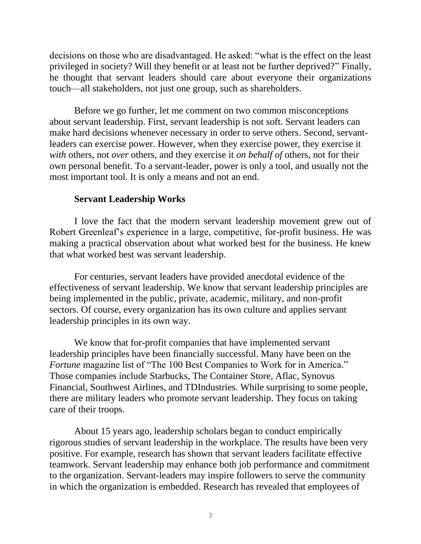decisions on those who are disadvantaged. He asked: "what is the effect on the least privileged in society? Will they benefit or at least not be further deprived?" Finally, he thought that servant leaders should care about everyone their organizations touch—all stakeholders, not just one group, such as shareholders.

Before we go further, let me comment on two common misconceptions about servant leadership. First, servant leadership is not soft. Servant leaders can make hard decisions whenever necessary in order to serve others. Second, servantleaders can exercise power. However, when they exercise power, they exercise it *with* others, not *over* others, and they exercise it *on behalf of* others, not for their own personal benefit. To a servant-leader, power is only a tool, and usually not the most important tool. It is only a means and not an end.

### **Servant Leadership Works**

I love the fact that the modern servant leadership movement grew out of Robert Greenleaf's experience in a large, competitive, for-profit business. He was making a practical observation about what worked best for the business. He knew that what worked best was servant leadership.

For centuries, servant leaders have provided anecdotal evidence of the effectiveness of servant leadership. We know that servant leadership principles are being implemented in the public, private, academic, military, and non-profit sectors. Of course, every organization has its own culture and applies servant leadership principles in its own way.

We know that for-profit companies that have implemented servant leadership principles have been financially successful. Many have been on the *Fortune* magazine list of "The 100 Best Companies to Work for in America." Those companies include Starbucks, The Container Store, Aflac, Synovus Financial, Southwest Airlines, and TDIndustries. While surprising to some people, there are military leaders who promote servant leadership. They focus on taking care of their troops.

About 15 years ago, leadership scholars began to conduct empirically rigorous studies of servant leadership in the workplace. The results have been very positive. For example, research has shown that servant leaders facilitate effective teamwork. Servant leadership may enhance both job performance and commitment to the organization. Servant-leaders may inspire followers to serve the community in which the organization is embedded. Research has revealed that employees of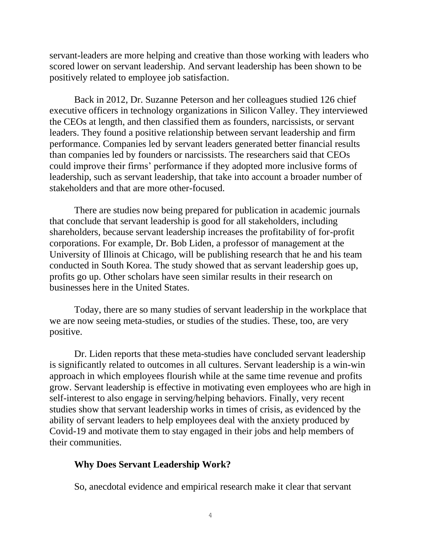servant-leaders are more helping and creative than those working with leaders who scored lower on servant leadership. And servant leadership has been shown to be positively related to employee job satisfaction.

Back in 2012, Dr. Suzanne Peterson and her colleagues studied 126 chief executive officers in technology organizations in Silicon Valley. They interviewed the CEOs at length, and then classified them as founders, narcissists, or servant leaders. They found a positive relationship between servant leadership and firm performance. Companies led by servant leaders generated better financial results than companies led by founders or narcissists. The researchers said that CEOs could improve their firms' performance if they adopted more inclusive forms of leadership, such as servant leadership, that take into account a broader number of stakeholders and that are more other-focused.

There are studies now being prepared for publication in academic journals that conclude that servant leadership is good for all stakeholders, including shareholders, because servant leadership increases the profitability of for-profit corporations. For example, Dr. Bob Liden, a professor of management at the University of Illinois at Chicago, will be publishing research that he and his team conducted in South Korea. The study showed that as servant leadership goes up, profits go up. Other scholars have seen similar results in their research on businesses here in the United States.

Today, there are so many studies of servant leadership in the workplace that we are now seeing meta-studies, or studies of the studies. These, too, are very positive.

Dr. Liden reports that these meta-studies have concluded servant leadership is significantly related to outcomes in all cultures. Servant leadership is a win-win approach in which employees flourish while at the same time revenue and profits grow. Servant leadership is effective in motivating even employees who are high in self-interest to also engage in serving/helping behaviors. Finally, very recent studies show that servant leadership works in times of crisis, as evidenced by the ability of servant leaders to help employees deal with the anxiety produced by Covid-19 and motivate them to stay engaged in their jobs and help members of their communities.

### **Why Does Servant Leadership Work?**

So, anecdotal evidence and empirical research make it clear that servant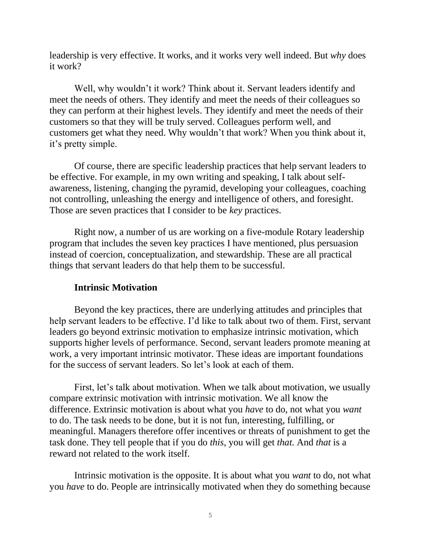leadership is very effective. It works, and it works very well indeed. But *why* does it work?

Well, why wouldn't it work? Think about it. Servant leaders identify and meet the needs of others. They identify and meet the needs of their colleagues so they can perform at their highest levels. They identify and meet the needs of their customers so that they will be truly served. Colleagues perform well, and customers get what they need. Why wouldn't that work? When you think about it, it's pretty simple.

Of course, there are specific leadership practices that help servant leaders to be effective. For example, in my own writing and speaking, I talk about selfawareness, listening, changing the pyramid, developing your colleagues, coaching not controlling, unleashing the energy and intelligence of others, and foresight. Those are seven practices that I consider to be *key* practices.

Right now, a number of us are working on a five-module Rotary leadership program that includes the seven key practices I have mentioned, plus persuasion instead of coercion, conceptualization, and stewardship. These are all practical things that servant leaders do that help them to be successful.

## **Intrinsic Motivation**

Beyond the key practices, there are underlying attitudes and principles that help servant leaders to be effective. I'd like to talk about two of them. First, servant leaders go beyond extrinsic motivation to emphasize intrinsic motivation, which supports higher levels of performance. Second, servant leaders promote meaning at work, a very important intrinsic motivator. These ideas are important foundations for the success of servant leaders. So let's look at each of them.

First, let's talk about motivation. When we talk about motivation, we usually compare extrinsic motivation with intrinsic motivation. We all know the difference. Extrinsic motivation is about what you *have* to do, not what you *want* to do. The task needs to be done, but it is not fun, interesting, fulfilling, or meaningful. Managers therefore offer incentives or threats of punishment to get the task done. They tell people that if you do *this*, you will get *that.* And *that* is a reward not related to the work itself.

Intrinsic motivation is the opposite. It is about what you *want* to do, not what you *have* to do. People are intrinsically motivated when they do something because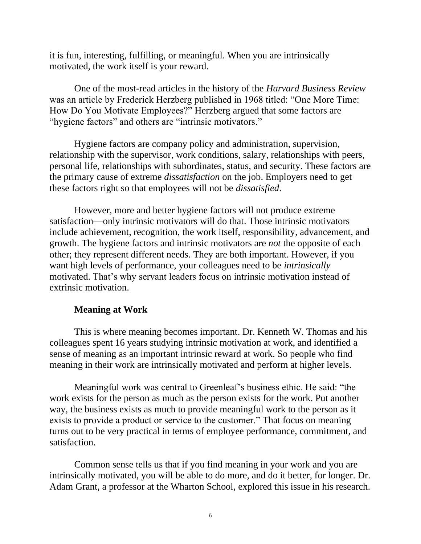it is fun, interesting, fulfilling, or meaningful. When you are intrinsically motivated, the work itself is your reward.

One of the most-read articles in the history of the *Harvard Business Review* was an article by Frederick Herzberg published in 1968 titled: "One More Time: How Do You Motivate Employees?" Herzberg argued that some factors are "hygiene factors" and others are "intrinsic motivators."

Hygiene factors are company policy and administration, supervision, relationship with the supervisor, work conditions, salary, relationships with peers, personal life, relationships with subordinates, status, and security. These factors are the primary cause of extreme *dissatisfaction* on the job. Employers need to get these factors right so that employees will not be *dissatisfied*.

However, more and better hygiene factors will not produce extreme satisfaction—only intrinsic motivators will do that. Those intrinsic motivators include achievement, recognition, the work itself, responsibility, advancement, and growth. The hygiene factors and intrinsic motivators are *not* the opposite of each other; they represent different needs. They are both important. However, if you want high levels of performance, your colleagues need to be *intrinsically* motivated. That's why servant leaders focus on intrinsic motivation instead of extrinsic motivation.

### **Meaning at Work**

This is where meaning becomes important. Dr. Kenneth W. Thomas and his colleagues spent 16 years studying intrinsic motivation at work, and identified a sense of meaning as an important intrinsic reward at work. So people who find meaning in their work are intrinsically motivated and perform at higher levels.

Meaningful work was central to Greenleaf's business ethic. He said: "the work exists for the person as much as the person exists for the work. Put another way, the business exists as much to provide meaningful work to the person as it exists to provide a product or service to the customer." That focus on meaning turns out to be very practical in terms of employee performance, commitment, and satisfaction.

Common sense tells us that if you find meaning in your work and you are intrinsically motivated, you will be able to do more, and do it better, for longer. Dr. Adam Grant, a professor at the Wharton School, explored this issue in his research.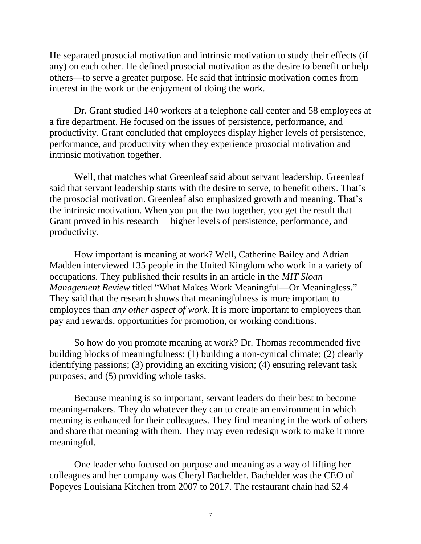He separated prosocial motivation and intrinsic motivation to study their effects (if any) on each other. He defined prosocial motivation as the desire to benefit or help others—to serve a greater purpose. He said that intrinsic motivation comes from interest in the work or the enjoyment of doing the work.

Dr. Grant studied 140 workers at a telephone call center and 58 employees at a fire department. He focused on the issues of persistence, performance, and productivity. Grant concluded that employees display higher levels of persistence, performance, and productivity when they experience prosocial motivation and intrinsic motivation together.

Well, that matches what Greenleaf said about servant leadership. Greenleaf said that servant leadership starts with the desire to serve, to benefit others. That's the prosocial motivation. Greenleaf also emphasized growth and meaning. That's the intrinsic motivation. When you put the two together, you get the result that Grant proved in his research— higher levels of persistence, performance, and productivity.

How important is meaning at work? Well, Catherine Bailey and Adrian Madden interviewed 135 people in the United Kingdom who work in a variety of occupations. They published their results in an article in the *MIT Sloan Management Review* titled "What Makes Work Meaningful—Or Meaningless." They said that the research shows that meaningfulness is more important to employees than *any other aspect of work*. It is more important to employees than pay and rewards, opportunities for promotion, or working conditions.

So how do you promote meaning at work? Dr. Thomas recommended five building blocks of meaningfulness: (1) building a non-cynical climate; (2) clearly identifying passions; (3) providing an exciting vision; (4) ensuring relevant task purposes; and (5) providing whole tasks.

Because meaning is so important, servant leaders do their best to become meaning-makers. They do whatever they can to create an environment in which meaning is enhanced for their colleagues. They find meaning in the work of others and share that meaning with them. They may even redesign work to make it more meaningful.

One leader who focused on purpose and meaning as a way of lifting her colleagues and her company was Cheryl Bachelder. Bachelder was the CEO of Popeyes Louisiana Kitchen from 2007 to 2017. The restaurant chain had \$2.4